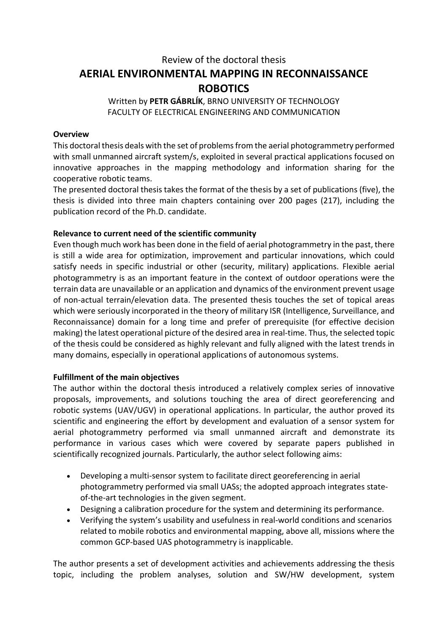# Review of the doctoral thesis AERIAL ENVIRONMENTAL MAPPING IN RECONNAISSANCE ROBOTICS

## Written by PETR GÁBRLÍK, BRNO UNIVERSITY OF TECHNOLOGY FACULTY OF ELECTRICAL ENGINEERING AND COMMUNICATION

## **Overview**

This doctoral thesis deals with the set of problems from the aerial photogrammetry performed with small unmanned aircraft system/s, exploited in several practical applications focused on innovative approaches in the mapping methodology and information sharing for the cooperative robotic teams.

The presented doctoral thesis takes the format of the thesis by a set of publications (five), the thesis is divided into three main chapters containing over 200 pages (217), including the publication record of the Ph.D. candidate.

# Relevance to current need of the scientific community

Even though much work has been done in the field of aerial photogrammetry in the past, there is still a wide area for optimization, improvement and particular innovations, which could satisfy needs in specific industrial or other (security, military) applications. Flexible aerial photogrammetry is as an important feature in the context of outdoor operations were the terrain data are unavailable or an application and dynamics of the environment prevent usage of non-actual terrain/elevation data. The presented thesis touches the set of topical areas which were seriously incorporated in the theory of military ISR (Intelligence, Surveillance, and Reconnaissance) domain for a long time and prefer of prerequisite (for effective decision making) the latest operational picture of the desired area in real-time. Thus, the selected topic of the thesis could be considered as highly relevant and fully aligned with the latest trends in many domains, especially in operational applications of autonomous systems.

# Fulfillment of the main objectives

The author within the doctoral thesis introduced a relatively complex series of innovative proposals, improvements, and solutions touching the area of direct georeferencing and robotic systems (UAV/UGV) in operational applications. In particular, the author proved its scientific and engineering the effort by development and evaluation of a sensor system for aerial photogrammetry performed via small unmanned aircraft and demonstrate its performance in various cases which were covered by separate papers published in scientifically recognized journals. Particularly, the author select following aims:

- Developing a multi-sensor system to facilitate direct georeferencing in aerial photogrammetry performed via small UASs; the adopted approach integrates stateof-the-art technologies in the given segment.
- Designing a calibration procedure for the system and determining its performance.
- Verifying the system's usability and usefulness in real-world conditions and scenarios related to mobile robotics and environmental mapping, above all, missions where the common GCP-based UAS photogrammetry is inapplicable.

The author presents a set of development activities and achievements addressing the thesis topic, including the problem analyses, solution and SW/HW development, system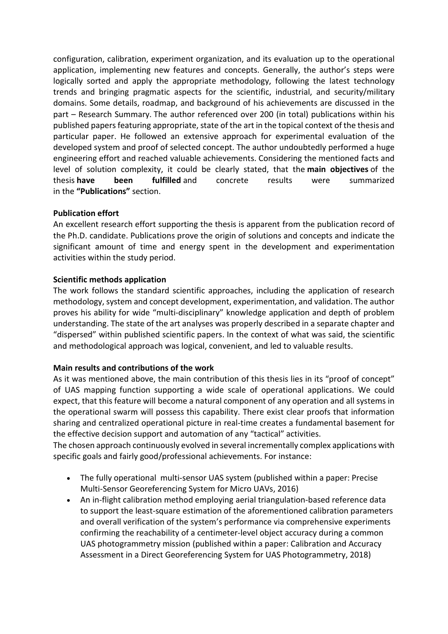configuration, calibration, experiment organization, and its evaluation up to the operational application, implementing new features and concepts. Generally, the author's steps were logically sorted and apply the appropriate methodology, following the latest technology trends and bringing pragmatic aspects for the scientific, industrial, and security/military domains. Some details, roadmap, and background of his achievements are discussed in the part – Research Summary. The author referenced over 200 (in total) publications within his published papers featuring appropriate, state of the art in the topical context of the thesis and particular paper. He followed an extensive approach for experimental evaluation of the developed system and proof of selected concept. The author undoubtedly performed a huge engineering effort and reached valuable achievements. Considering the mentioned facts and level of solution complexity, it could be clearly stated, that the main objectives of the thesis have been fulfilled and concrete results were summarized in the "Publications" section.

# Publication effort

An excellent research effort supporting the thesis is apparent from the publication record of the Ph.D. candidate. Publications prove the origin of solutions and concepts and indicate the significant amount of time and energy spent in the development and experimentation activities within the study period.

# Scientific methods application

The work follows the standard scientific approaches, including the application of research methodology, system and concept development, experimentation, and validation. The author proves his ability for wide "multi-disciplinary" knowledge application and depth of problem understanding. The state of the art analyses was properly described in a separate chapter and "dispersed" within published scientific papers. In the context of what was said, the scientific and methodological approach was logical, convenient, and led to valuable results.

## Main results and contributions of the work

As it was mentioned above, the main contribution of this thesis lies in its "proof of concept" of UAS mapping function supporting a wide scale of operational applications. We could expect, that this feature will become a natural component of any operation and all systems in the operational swarm will possess this capability. There exist clear proofs that information sharing and centralized operational picture in real-time creates a fundamental basement for the effective decision support and automation of any "tactical" activities.

The chosen approach continuously evolved in several incrementally complex applications with specific goals and fairly good/professional achievements. For instance:

- The fully operational multi-sensor UAS system (published within a paper: Precise Multi-Sensor Georeferencing System for Micro UAVs, 2016)
- An in-flight calibration method employing aerial triangulation-based reference data to support the least-square estimation of the aforementioned calibration parameters and overall verification of the system's performance via comprehensive experiments confirming the reachability of a centimeter-level object accuracy during a common UAS photogrammetry mission (published within a paper: Calibration and Accuracy Assessment in a Direct Georeferencing System for UAS Photogrammetry, 2018)